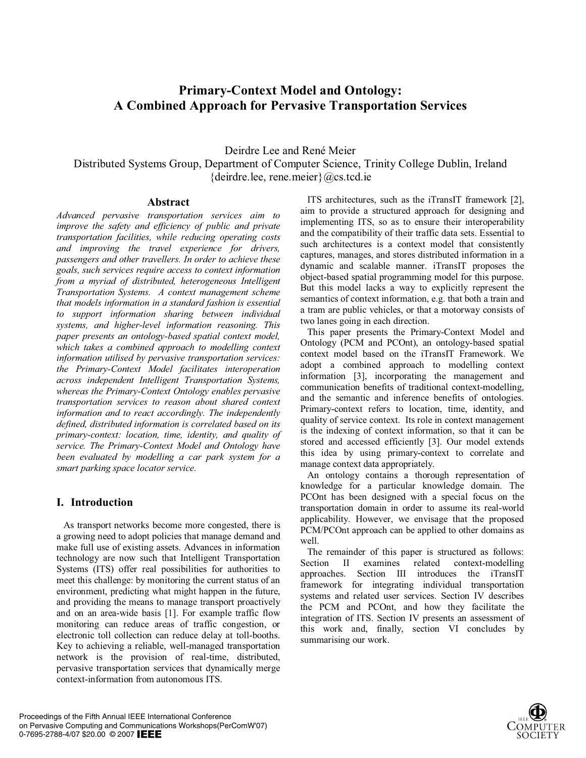# **Primary-Context Model and Ontology: A Combined Approach for Pervasive Transportation Services**

Deirdre Lee and René Meier Distributed Systems Group, Department of Computer Science, Trinity College Dublin, Ireland {deirdre.lee, rene.meier}@cs.tcd.ie

#### **Abstract**

*Advanced pervasive transportation services aim to improve the safety and efficiency of public and private transportation facilities, while reducing operating costs and improving the travel experience for drivers, passengers and other travellers. In order to achieve these goals, such services require access to context information from a myriad of distributed, heterogeneous Intelligent Transportation Systems. A context management scheme that models information in a standard fashion is essential to support information sharing between individual systems, and higher-level information reasoning. This paper presents an ontology-based spatial context model, which takes a combined approach to modelling context information utilised by pervasive transportation services: the Primary-Context Model facilitates interoperation across independent Intelligent Transportation Systems, whereas the Primary-Context Ontology enables pervasive transportation services to reason about shared context information and to react accordingly. The independently defined, distributed information is correlated based on its primary-context: location, time, identity, and quality of service. The Primary-Context Model and Ontology have been evaluated by modelling a car park system for a smart parking space locator service.* 

# **I. Introduction**

As transport networks become more congested, there is a growing need to adopt policies that manage demand and make full use of existing assets. Advances in information technology are now such that Intelligent Transportation Systems (ITS) offer real possibilities for authorities to meet this challenge: by monitoring the current status of an environment, predicting what might happen in the future, and providing the means to manage transport proactively and on an area-wide basis [1]. For example traffic flow monitoring can reduce areas of traffic congestion, or electronic toll collection can reduce delay at toll-booths. Key to achieving a reliable, well-managed transportation network is the provision of real-time, distributed, pervasive transportation services that dynamically merge context-information from autonomous ITS.

ITS architectures, such as the iTransIT framework [2], aim to provide a structured approach for designing and implementing ITS, so as to ensure their interoperability and the compatibility of their traffic data sets. Essential to such architectures is a context model that consistently captures, manages, and stores distributed information in a dynamic and scalable manner. iTransIT proposes the object-based spatial programming model for this purpose. But this model lacks a way to explicitly represent the semantics of context information, e.g. that both a train and a tram are public vehicles, or that a motorway consists of two lanes going in each direction.

This paper presents the Primary-Context Model and Ontology (PCM and PCOnt), an ontology-based spatial context model based on the iTransIT Framework. We adopt a combined approach to modelling context information [3], incorporating the management and communication benefits of traditional context-modelling, and the semantic and inference benefits of ontologies. Primary-context refers to location, time, identity, and quality of service context. Its role in context management is the indexing of context information, so that it can be stored and accessed efficiently [3]. Our model extends this idea by using primary-context to correlate and manage context data appropriately.

An ontology contains a thorough representation of knowledge for a particular knowledge domain. The PCOnt has been designed with a special focus on the transportation domain in order to assume its real-world applicability. However, we envisage that the proposed PCM/PCOnt approach can be applied to other domains as well.

The remainder of this paper is structured as follows: Section II examines related context-modelling approaches. Section III introduces the iTransIT framework for integrating individual transportation systems and related user services. Section IV describes the PCM and PCOnt, and how they facilitate the integration of ITS. Section IV presents an assessment of this work and, finally, section VI concludes by summarising our work.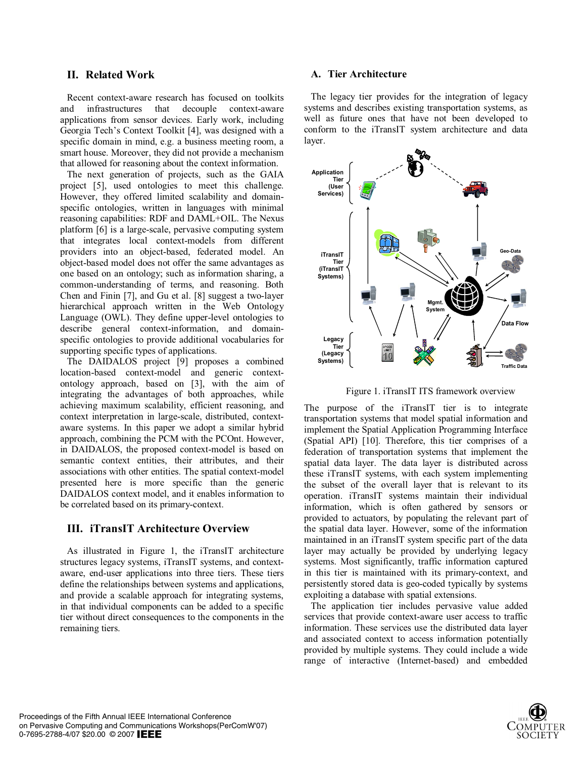### **II. Related Work**

Recent context-aware research has focused on toolkits and infrastructures that decouple context-aware applications from sensor devices. Early work, including Georgia Tech's Context Toolkit [4], was designed with a specific domain in mind, e.g. a business meeting room, a smart house. Moreover, they did not provide a mechanism that allowed for reasoning about the context information.

The next generation of projects, such as the GAIA project [5], used ontologies to meet this challenge. However, they offered limited scalability and domainspecific ontologies, written in languages with minimal reasoning capabilities: RDF and DAML+OIL. The Nexus platform [6] is a large-scale, pervasive computing system that integrates local context-models from different providers into an object-based, federated model. An object-based model does not offer the same advantages as one based on an ontology; such as information sharing, a common-understanding of terms, and reasoning. Both Chen and Finin [7], and Gu et al. [8] suggest a two-layer hierarchical approach written in the Web Ontology Language (OWL). They define upper-level ontologies to describe general context-information, and domainspecific ontologies to provide additional vocabularies for supporting specific types of applications.

The DAIDALOS project [9] proposes a combined location-based context-model and generic contextontology approach, based on [3], with the aim of integrating the advantages of both approaches, while achieving maximum scalability, efficient reasoning, and context interpretation in large-scale, distributed, contextaware systems. In this paper we adopt a similar hybrid approach, combining the PCM with the PCOnt. However, in DAIDALOS, the proposed context-model is based on semantic context entities, their attributes, and their associations with other entities. The spatial context-model presented here is more specific than the generic DAIDALOS context model, and it enables information to be correlated based on its primary-context.

# **III. iTransIT Architecture Overview**

As illustrated in Figure 1, the iTransIT architecture structures legacy systems, iTransIT systems, and contextaware, end-user applications into three tiers. These tiers define the relationships between systems and applications, and provide a scalable approach for integrating systems, in that individual components can be added to a specific tier without direct consequences to the components in the remaining tiers.

### **A. Tier Architecture**

The legacy tier provides for the integration of legacy systems and describes existing transportation systems, as well as future ones that have not been developed to conform to the iTransIT system architecture and data layer.



Figure 1. iTransIT ITS framework overview

The purpose of the iTransIT tier is to integrate transportation systems that model spatial information and implement the Spatial Application Programming Interface (Spatial API) [10]. Therefore, this tier comprises of a federation of transportation systems that implement the spatial data layer. The data layer is distributed across these iTransIT systems, with each system implementing the subset of the overall layer that is relevant to its operation. iTransIT systems maintain their individual information, which is often gathered by sensors or provided to actuators, by populating the relevant part of the spatial data layer. However, some of the information maintained in an iTransIT system specific part of the data layer may actually be provided by underlying legacy systems. Most significantly, traffic information captured in this tier is maintained with its primary-context, and persistently stored data is geo-coded typically by systems exploiting a database with spatial extensions.

The application tier includes pervasive value added services that provide context-aware user access to traffic information. These services use the distributed data layer and associated context to access information potentially provided by multiple systems. They could include a wide range of interactive (Internet-based) and embedded

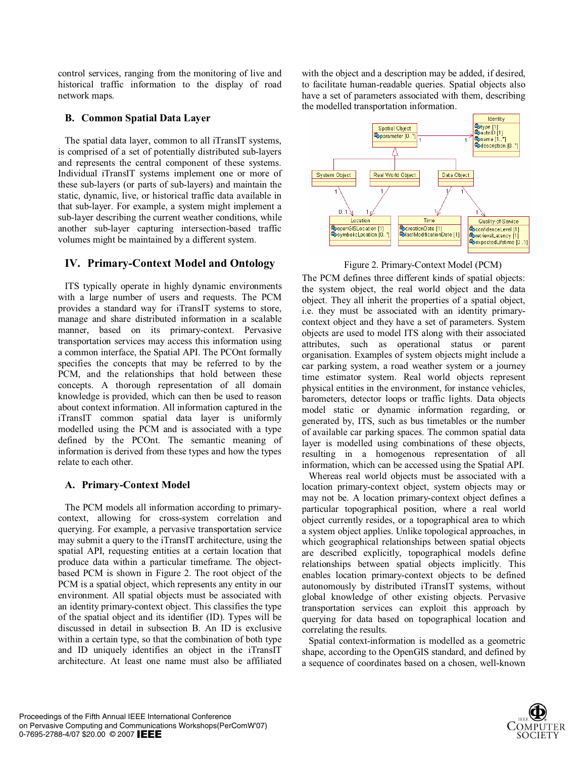control services, ranging from the monitoring of live and historical traffic information to the display of road network maps.

### **B. Common Spatial Data Layer**

The spatial data layer, common to all iTransIT systems, is comprised of a set of potentially distributed sub-layers and represents the central component of these systems. Individual iTransIT systems implement one or more of these sub-layers (or parts of sub-layers) and maintain the static, dynamic, live, or historical traffic data available in that sub-layer. For example, a system might implement a sub-layer describing the current weather conditions, while another sub-layer capturing intersection-based traffic volumes might be maintained by a different system.

### **IV. Primary-Context Model and Ontology**

ITS typically operate in highly dynamic environments with a large number of users and requests. The PCM provides a standard way for iTransIT systems to store, manage and share distributed information in a scalable manner, based on its primary-context. Pervasive transportation services may access this information using a common interface, the Spatial API. The PCOnt formally specifies the concepts that may be referred to by the PCM, and the relationships that hold between these concepts. A thorough representation of all domain knowledge is provided, which can then be used to reason about context information. All information captured in the iTransIT common spatial data layer is uniformly modelled using the PCM and is associated with a type defined by the PCOnt. The semantic meaning of information is derived from these types and how the types relate to each other.

#### **A. Primary-Context Model**

The PCM models all information according to primarycontext, allowing for cross-system correlation and querying. For example, a pervasive transportation service may submit a query to the iTransIT architecture, using the spatial API, requesting entities at a certain location that produce data within a particular timeframe. The objectbased PCM is shown in Figure 2. The root object of the PCM is a spatial object, which represents any entity in our environment. All spatial objects must be associated with an identity primary-context object. This classifies the type of the spatial object and its identifier (ID). Types will be discussed in detail in subsection B. An ID is exclusive within a certain type, so that the combination of both type and ID uniquely identifies an object in the iTransIT architecture. At least one name must also be affiliated with the object and a description may be added, if desired, to facilitate human-readable queries. Spatial objects also have a set of parameters associated with them, describing the modelled transportation information.



Figure 2. Primary-Context Model (PCM)

The PCM defines three different kinds of spatial objects: the system object, the real world object and the data object. They all inherit the properties of a spatial object, i.e. they must be associated with an identity primarycontext object and they have a set of parameters. System objects are used to model ITS along with their associated attributes, such as operational status or parent organisation. Examples of system objects might include a car parking system, a road weather system or a journey time estimator system. Real world objects represent physical entities in the environment, for instance vehicles, barometers, detector loops or traffic lights. Data objects model static or dynamic information regarding, or generated by, ITS, such as bus timetables or the number of available car parking spaces. The common spatial data layer is modelled using combinations of these objects, resulting in a homogenous representation of all information, which can be accessed using the Spatial API.

Whereas real world objects must be associated with a location primary-context object, system objects may or may not be. A location primary-context object defines a particular topographical position, where a real world object currently resides, or a topographical area to which a system object applies. Unlike topological approaches, in which geographical relationships between spatial objects are described explicitly, topographical models define relationships between spatial objects implicitly. This enables location primary-context objects to be defined autonomously by distributed iTransIT systems, without global knowledge of other existing objects. Pervasive transportation services can exploit this approach by querying for data based on topographical location and correlating the results.

Spatial context-information is modelled as a geometric shape, according to the OpenGIS standard, and defined by a sequence of coordinates based on a chosen, well-known

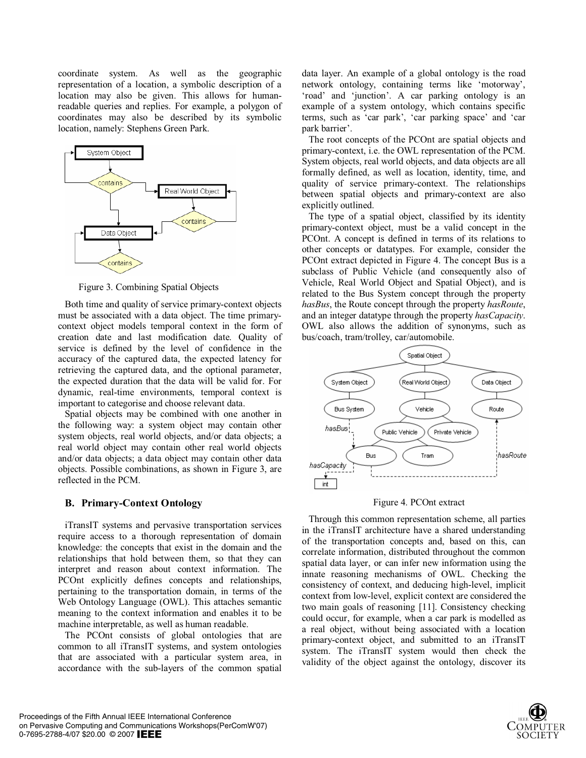coordinate system. As well as the geographic representation of a location, a symbolic description of a location may also be given. This allows for humanreadable queries and replies. For example, a polygon of coordinates may also be described by its symbolic location, namely: Stephens Green Park.



Figure 3. Combining Spatial Objects

Both time and quality of service primary-context objects must be associated with a data object. The time primarycontext object models temporal context in the form of creation date and last modification date. Quality of service is defined by the level of confidence in the accuracy of the captured data, the expected latency for retrieving the captured data, and the optional parameter, the expected duration that the data will be valid for. For dynamic, real-time environments, temporal context is important to categorise and choose relevant data.

Spatial objects may be combined with one another in the following way: a system object may contain other system objects, real world objects, and/or data objects; a real world object may contain other real world objects and/or data objects; a data object may contain other data objects. Possible combinations, as shown in Figure 3, are reflected in the PCM.

### **B. Primary-Context Ontology**

iTransIT systems and pervasive transportation services require access to a thorough representation of domain knowledge: the concepts that exist in the domain and the relationships that hold between them, so that they can interpret and reason about context information. The PCOnt explicitly defines concepts and relationships, pertaining to the transportation domain, in terms of the Web Ontology Language (OWL). This attaches semantic meaning to the context information and enables it to be machine interpretable, as well as human readable.

The PCOnt consists of global ontologies that are common to all iTransIT systems, and system ontologies that are associated with a particular system area, in accordance with the sub-layers of the common spatial

data layer. An example of a global ontology is the road network ontology, containing terms like 'motorway', 'road' and 'junction'. A car parking ontology is an example of a system ontology, which contains specific terms, such as 'car park', 'car parking space' and 'car park barrier'.

The root concepts of the PCOnt are spatial objects and primary-context, i.e. the OWL representation of the PCM. System objects, real world objects, and data objects are all formally defined, as well as location, identity, time, and quality of service primary-context. The relationships between spatial objects and primary-context are also explicitly outlined.

The type of a spatial object, classified by its identity primary-context object, must be a valid concept in the PCOnt. A concept is defined in terms of its relations to other concepts or datatypes. For example, consider the PCOnt extract depicted in Figure 4. The concept Bus is a subclass of Public Vehicle (and consequently also of Vehicle, Real World Object and Spatial Object), and is related to the Bus System concept through the property *hasBus*, the Route concept through the property *hasRoute*, and an integer datatype through the property *hasCapacity*. OWL also allows the addition of synonyms, such as bus/coach, tram/trolley, car/automobile.



#### Figure 4. PCOnt extract

Through this common representation scheme, all parties in the iTransIT architecture have a shared understanding of the transportation concepts and, based on this, can correlate information, distributed throughout the common spatial data layer, or can infer new information using the innate reasoning mechanisms of OWL. Checking the consistency of context, and deducing high-level, implicit context from low-level, explicit context are considered the two main goals of reasoning [11]. Consistency checking could occur, for example, when a car park is modelled as a real object, without being associated with a location primary-context object, and submitted to an iTransIT system. The iTransIT system would then check the validity of the object against the ontology, discover its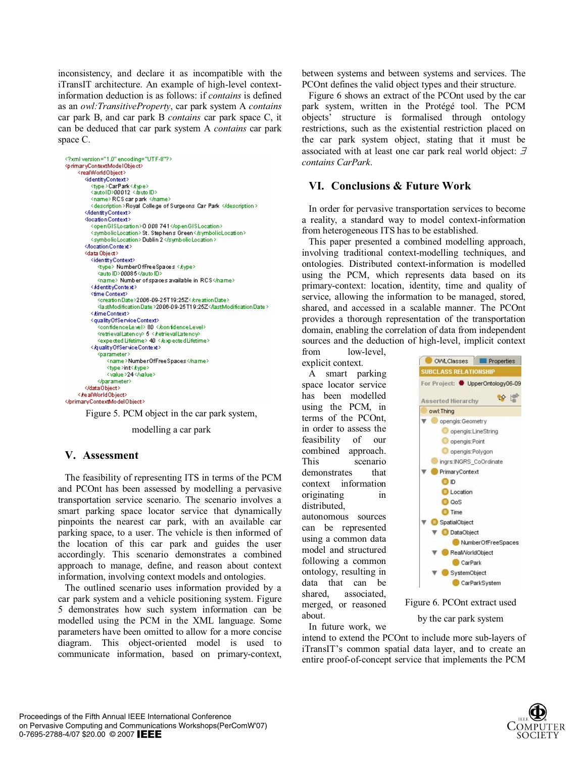inconsistency, and declare it as incompatible with the iTransIT architecture. An example of high-level contextinformation deduction is as follows: if *contains* is defined as an *owl:TransitiveProperty*, car park system A *contains* car park B, and car park B *contains* car park space C, it can be deduced that car park system A *contains* car park space C.

```
<?xml version="1.0" encoding="UTF-8"?>
<primaryContextModelObject>
    <real\ModdObiect>
       <identityContext>
         <name>RCS car park </name>
         <description > Royal College of Surgeons Car Park </description >
       </identityContext>
       <location Context>
         <openGISLocation>O 008 741</openGISLocation>
         <sumbolicLocation>St. Stephen's Green</sumbolicLocation>
         <symbolic Location> Dublin 2 </symbolic Location>
       </location Context>
       <data Obie ot>
         <identityContext>
            <type> NumberOfFreeSpaces <type>
            <auto ID>00085</auto ID>
            <name> Number of space's available in RCS</name>
         <MdentityContext>
         <time Context>
            <creationDate>2006-09-25T19:25Z</creationDate></
            <lastModificationDate>2006-09-25T19:25Z</lastModificationDate>
         < kime Context>
         <qualityOfServiceContext>
            <confidenceLevel>80 </confidenceLevel>
            KretrievalLaten.cy> 5 KiretrievalLatency>
            <expected Lifetime> 40 </expected Lifetime>
         <ApualityOfServiceContext>
            <parameter>
               <name>NumberOfFreeSpaces</name>
               <type>int<type>
               <value>24</value>
            </parameter>
       </dataObject>
    </he alWorld Object>
</primaryContextModelObject>
```
Figure 5. PCM object in the car park system,

modelling a car park

#### **V. Assessment**

The feasibility of representing ITS in terms of the PCM and PCOnt has been assessed by modelling a pervasive transportation service scenario. The scenario involves a smart parking space locator service that dynamically pinpoints the nearest car park, with an available car parking space, to a user. The vehicle is then informed of the location of this car park and guides the user accordingly. This scenario demonstrates a combined approach to manage, define, and reason about context information, involving context models and ontologies.

The outlined scenario uses information provided by a car park system and a vehicle positioning system. Figure 5 demonstrates how such system information can be modelled using the PCM in the XML language. Some parameters have been omitted to allow for a more concise diagram. This object-oriented model is used to communicate information, based on primary-context,

between systems and between systems and services. The PCOnt defines the valid object types and their structure.

Figure 6 shows an extract of the PCOnt used by the car park system, written in the Protégé tool. The PCM objects' structure is formalised through ontology restrictions, such as the existential restriction placed on the car park system object, stating that it must be associated with at least one car park real world object: ∃ *contains CarPark*.

### **VI. Conclusions & Future Work**

In order for pervasive transportation services to become a reality, a standard way to model context-information from heterogeneous ITS has to be established.

This paper presented a combined modelling approach, involving traditional context-modelling techniques, and ontologies. Distributed context-information is modelled using the PCM, which represents data based on its primary-context: location, identity, time and quality of service, allowing the information to be managed, stored, shared, and accessed in a scalable manner. The PCOnt provides a thorough representation of the transportation domain, enabling the correlation of data from independent sources and the deduction of high-level, implicit context

from low-level, explicit context.

A smart parking space locator service has been modelled using the PCM, in terms of the PCOnt, in order to assess the feasibility of our combined approach. This scenario demonstrates that context information originating in distributed,

autonomous sources can be represented using a common data model and structured following a common ontology, resulting in data that can be shared, associated, merged, or reasoned about.

In future work, we



Figure 6. PCOnt extract used

by the car park system

intend to extend the PCOnt to include more sub-layers of iTransIT's common spatial data layer, and to create an entire proof-of-concept service that implements the PCM